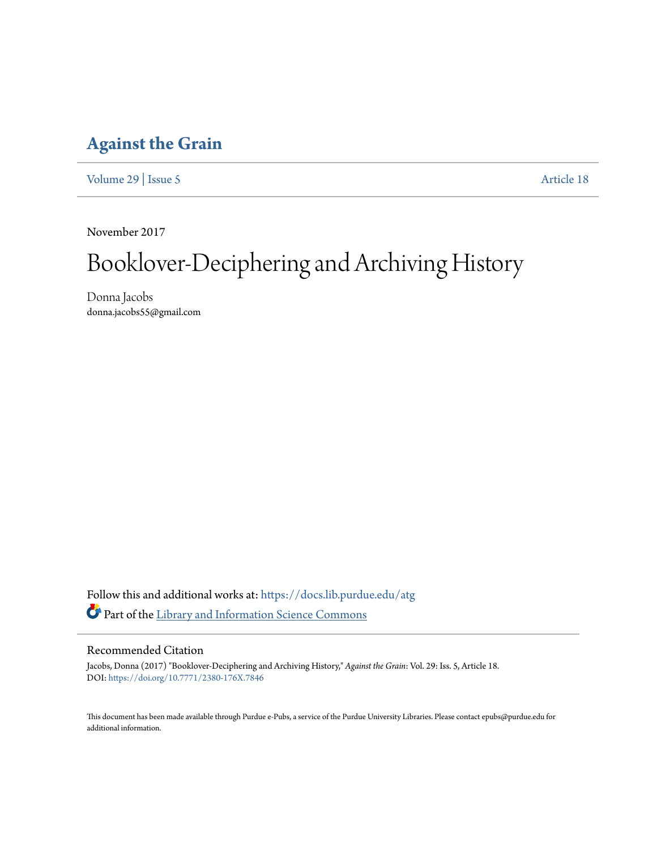## **[Against the Grain](https://docs.lib.purdue.edu/atg?utm_source=docs.lib.purdue.edu%2Fatg%2Fvol29%2Fiss5%2F18&utm_medium=PDF&utm_campaign=PDFCoverPages)**

[Volume 29](https://docs.lib.purdue.edu/atg/vol29?utm_source=docs.lib.purdue.edu%2Fatg%2Fvol29%2Fiss5%2F18&utm_medium=PDF&utm_campaign=PDFCoverPages) | [Issue 5](https://docs.lib.purdue.edu/atg/vol29/iss5?utm_source=docs.lib.purdue.edu%2Fatg%2Fvol29%2Fiss5%2F18&utm_medium=PDF&utm_campaign=PDFCoverPages) [Article 18](https://docs.lib.purdue.edu/atg/vol29/iss5/18?utm_source=docs.lib.purdue.edu%2Fatg%2Fvol29%2Fiss5%2F18&utm_medium=PDF&utm_campaign=PDFCoverPages)

November 2017

## Booklover-Deciphering and Archiving History

Donna Jacobs donna.jacobs55@gmail.com

Follow this and additional works at: [https://docs.lib.purdue.edu/atg](https://docs.lib.purdue.edu/atg?utm_source=docs.lib.purdue.edu%2Fatg%2Fvol29%2Fiss5%2F18&utm_medium=PDF&utm_campaign=PDFCoverPages) Part of the [Library and Information Science Commons](http://network.bepress.com/hgg/discipline/1018?utm_source=docs.lib.purdue.edu%2Fatg%2Fvol29%2Fiss5%2F18&utm_medium=PDF&utm_campaign=PDFCoverPages)

## Recommended Citation

Jacobs, Donna (2017) "Booklover-Deciphering and Archiving History," *Against the Grain*: Vol. 29: Iss. 5, Article 18. DOI: <https://doi.org/10.7771/2380-176X.7846>

This document has been made available through Purdue e-Pubs, a service of the Purdue University Libraries. Please contact epubs@purdue.edu for additional information.